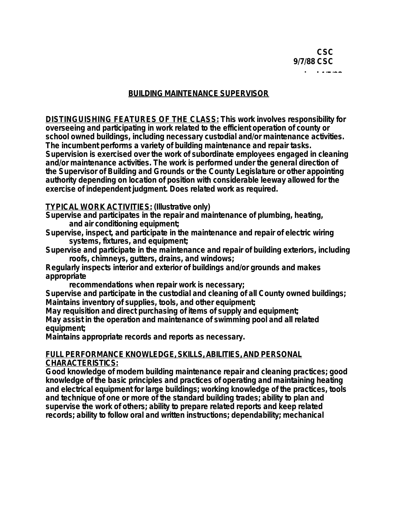## **BUILDINGMAINTENANCESUPERVISOR**

**DISTINGUISHING FEATURES OF THE CLASS: This work involves responsibility for overseeing and participating in work related to the efficient operation of county or school owned buildings, including necessary custodial and/or maintenance activities. The incumbent performs a variety of building maintenance and repair tasks. Supervision is exercised over the work of subordinate employees engaged in cleaning and/or maintenance activities. The work is performed under the general direction of the Supervisor of Building and Grounds or the County Legislature or other appointing authority depending on location of position with considerable leeway allowed for the exercise of independent judgment. Does related work as required.**

**TYPICAL WORK ACTIVITIES: (Illustrative only)**

**Supervise and participates in the repair and maintenance of plumbing, heating, and air conditioning equipment;**

**Supervise, inspect, and participate in the maintenance and repair of electric wiring systems, fixtures, and equipment;**

**Supervise and participate in the maintenance and repair of building exteriors, including roofs, chimneys, gutters, drains, and windows;**

**Regularly inspects interior and exterior of buildings and/or grounds and makes appropriate**

**recommendations when repair work is necessary;**

**Supervise and participate in the custodial and cleaning of all County owned buildings; Maintains inventory of supplies, tools, and other equipment;**

**May requisition and direct purchasing of items of supply and equipment; May assist in the operation and maintenance of swimming pool and all related equipment;**

**Maintains appropriate records and reports as necessary.**

## FULL PERFORMANCE KNOWLEDGE, SKILLS, ABILITIES, AND PERSONAL **CHARACTERISTICS:**

**Good knowledge of modern building maintenance repair and cleaning practices; good knowledge of the basic principles and practices of operating and maintaining heating and electrical equipment for large buildings; working knowledge of the practices, tools and technique of one or more of the standard building trades; ability to plan and supervise the work of others; ability to prepare related reports and keep related records; ability to follow oral and written instructions; dependability; mechanical**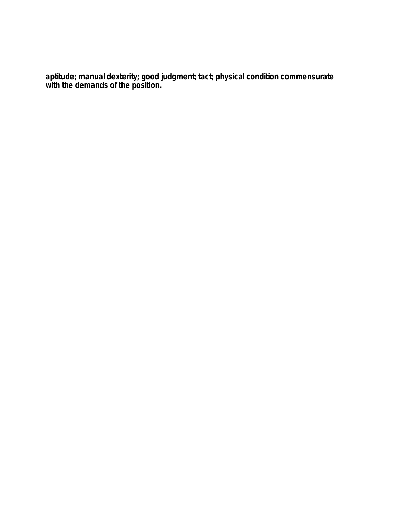**aptitude; manual dexterity; good judgment; tact; physical condition commensurate with the demands of the position.**